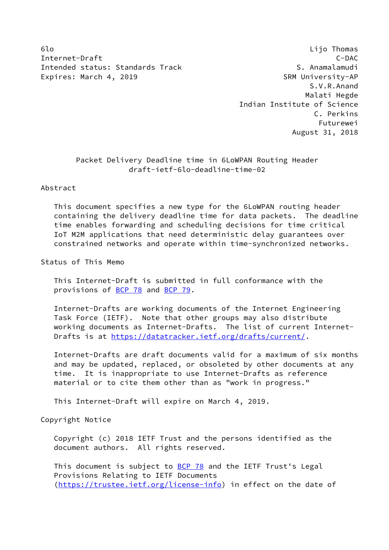6lo Lijo Thomas Internet-Draft C-DAC Intended status: Standards Track S. Anamalamudi Expires: March 4, 2019 **SRM University-AP** 

 S.V.R.Anand Malati Hegde Indian Institute of Science C. Perkins Futurewei August 31, 2018

## Packet Delivery Deadline time in 6LoWPAN Routing Header draft-ietf-6lo-deadline-time-02

## Abstract

 This document specifies a new type for the 6LoWPAN routing header containing the delivery deadline time for data packets. The deadline time enables forwarding and scheduling decisions for time critical IoT M2M applications that need deterministic delay guarantees over constrained networks and operate within time-synchronized networks.

#### Status of This Memo

 This Internet-Draft is submitted in full conformance with the provisions of [BCP 78](https://datatracker.ietf.org/doc/pdf/bcp78) and [BCP 79](https://datatracker.ietf.org/doc/pdf/bcp79).

 Internet-Drafts are working documents of the Internet Engineering Task Force (IETF). Note that other groups may also distribute working documents as Internet-Drafts. The list of current Internet- Drafts is at<https://datatracker.ietf.org/drafts/current/>.

 Internet-Drafts are draft documents valid for a maximum of six months and may be updated, replaced, or obsoleted by other documents at any time. It is inappropriate to use Internet-Drafts as reference material or to cite them other than as "work in progress."

This Internet-Draft will expire on March 4, 2019.

### Copyright Notice

 Copyright (c) 2018 IETF Trust and the persons identified as the document authors. All rights reserved.

This document is subject to **[BCP 78](https://datatracker.ietf.org/doc/pdf/bcp78)** and the IETF Trust's Legal Provisions Relating to IETF Documents [\(https://trustee.ietf.org/license-info](https://trustee.ietf.org/license-info)) in effect on the date of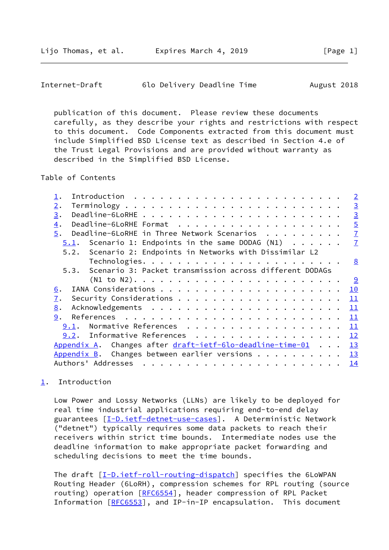<span id="page-1-1"></span>

| Internet-Draft | 6lo Delivery Deadline Time |  | August 2018 |
|----------------|----------------------------|--|-------------|
|----------------|----------------------------|--|-------------|

 publication of this document. Please review these documents carefully, as they describe your rights and restrictions with respect to this document. Code Components extracted from this document must include Simplified BSD License text as described in Section 4.e of the Trust Legal Provisions and are provided without warranty as described in the Simplified BSD License.

Table of Contents

|                                                              | $\overline{2}$ |
|--------------------------------------------------------------|----------------|
| 2.                                                           | $\overline{3}$ |
| 3.                                                           | $\overline{3}$ |
| 4.                                                           | $\overline{5}$ |
| Deadline-6LoRHE in Three Network Scenarios<br>5.             | $\overline{1}$ |
| 5.1. Scenario 1: Endpoints in the same DODAG $(N1)$          | $\overline{1}$ |
| 5.2. Scenario 2: Endpoints in Networks with Dissimilar L2    |                |
|                                                              | 8              |
| 5.3. Scenario 3: Packet transmission across different DODAGs |                |
| $(N1 to N2)$                                                 | <u>୍ର</u>      |
| 6.                                                           | 10             |
| 7.                                                           | 11             |
| 8.                                                           | 11             |
| 9.                                                           | 11             |
| Normative References<br>9.1.                                 | 11             |
| 9.2. Informative References                                  | 12             |
| Appendix A. Changes after draft-ietf-6lo-deadline-time-01    | 13             |
| Appendix B. Changes between earlier versions $\dots$         | 13             |
|                                                              | 14             |
|                                                              |                |

# <span id="page-1-0"></span>[1](#page-1-0). Introduction

 Low Power and Lossy Networks (LLNs) are likely to be deployed for real time industrial applications requiring end-to-end delay guarantees [[I-D.ietf-detnet-use-cases\]](#page-13-1). A Deterministic Network ("detnet") typically requires some data packets to reach their receivers within strict time bounds. Intermediate nodes use the deadline information to make appropriate packet forwarding and scheduling decisions to meet the time bounds.

The draft [[I-D.ietf-roll-routing-dispatch](#page-11-5)] specifies the 6LoWPAN Routing Header (6LoRH), compression schemes for RPL routing (source routing) operation [[RFC6554\]](https://datatracker.ietf.org/doc/pdf/rfc6554), header compression of RPL Packet Information [\[RFC6553](https://datatracker.ietf.org/doc/pdf/rfc6553)], and IP-in-IP encapsulation. This document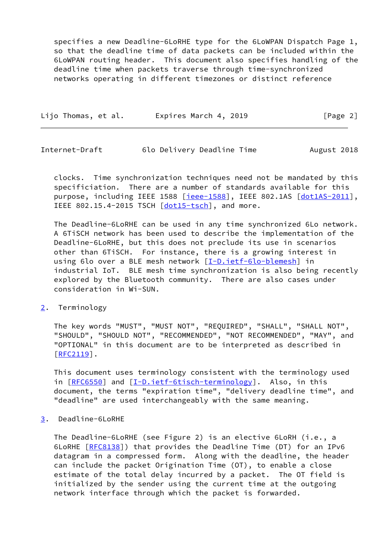specifies a new Deadline-6LoRHE type for the 6LoWPAN Dispatch Page 1, so that the deadline time of data packets can be included within the 6LoWPAN routing header. This document also specifies handling of the deadline time when packets traverse through time-synchronized networks operating in different timezones or distinct reference

| Lijo Thomas, et al. | Expires March 4, 2019 | [Page 2] |
|---------------------|-----------------------|----------|
|---------------------|-----------------------|----------|

<span id="page-2-1"></span>Internet-Draft 6lo Delivery Deadline Time August 2018

 clocks. Time synchronization techniques need not be mandated by this specificiation. There are a number of standards available for this purpose, including IEEE 1588 [\[ieee-1588\]](#page-13-2), IEEE 802.1AS [\[dot1AS-2011](#page-13-3)], IEEE 802.15.4-2015 TSCH [\[dot15-tsch\]](#page-13-4), and more.

 The Deadline-6LoRHE can be used in any time synchronized 6Lo network. A 6TiSCH network has been used to describe the implementation of the Deadline-6LoRHE, but this does not preclude its use in scenarios other than 6TiSCH. For instance, there is a growing interest in using 6lo over a BLE mesh network [[I-D.ietf-6lo-blemesh\]](#page-13-5) in industrial IoT. BLE mesh time synchronization is also being recently explored by the Bluetooth community. There are also cases under consideration in Wi-SUN.

### <span id="page-2-0"></span>[2](#page-2-0). Terminology

 The key words "MUST", "MUST NOT", "REQUIRED", "SHALL", "SHALL NOT", "SHOULD", "SHOULD NOT", "RECOMMENDED", "NOT RECOMMENDED", "MAY", and "OPTIONAL" in this document are to be interpreted as described in [\[RFC2119](https://datatracker.ietf.org/doc/pdf/rfc2119)].

 This document uses terminology consistent with the terminology used in [[RFC6550\]](https://datatracker.ietf.org/doc/pdf/rfc6550) and [\[I-D.ietf-6tisch-terminology](#page-11-6)]. Also, in this document, the terms "expiration time", "delivery deadline time", and "deadline" are used interchangeably with the same meaning.

<span id="page-2-2"></span>[3](#page-2-2). Deadline-6LoRHE

 The Deadline-6LoRHE (see Figure 2) is an elective 6LoRH (i.e., a 6LoRHE [\[RFC8138](https://datatracker.ietf.org/doc/pdf/rfc8138)]) that provides the Deadline Time (DT) for an IPv6 datagram in a compressed form. Along with the deadline, the header can include the packet Origination Time (OT), to enable a close estimate of the total delay incurred by a packet. The OT field is initialized by the sender using the current time at the outgoing network interface through which the packet is forwarded.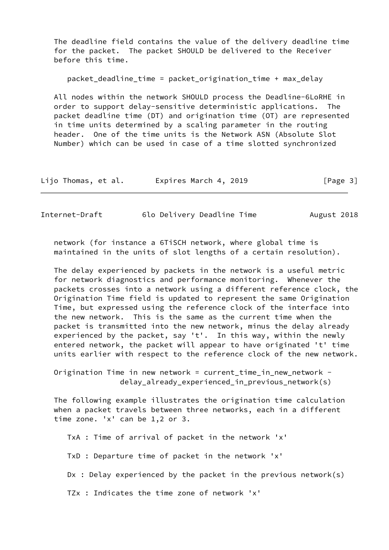The deadline field contains the value of the delivery deadline time for the packet. The packet SHOULD be delivered to the Receiver before this time.

packet\_deadline\_time = packet\_origination\_time + max\_delay

 All nodes within the network SHOULD process the Deadline-6LoRHE in order to support delay-sensitive deterministic applications. The packet deadline time (DT) and origination time (OT) are represented in time units determined by a scaling parameter in the routing header. One of the time units is the Network ASN (Absolute Slot Number) which can be used in case of a time slotted synchronized

| Lijo Thomas, et al. | Expires March 4, 2019 | [Page 3] |
|---------------------|-----------------------|----------|
|---------------------|-----------------------|----------|

Internet-Draft 6lo Delivery Deadline Time August 2018

 network (for instance a 6TiSCH network, where global time is maintained in the units of slot lengths of a certain resolution).

 The delay experienced by packets in the network is a useful metric for network diagnostics and performance monitoring. Whenever the packets crosses into a network using a different reference clock, the Origination Time field is updated to represent the same Origination Time, but expressed using the reference clock of the interface into the new network. This is the same as the current time when the packet is transmitted into the new network, minus the delay already experienced by the packet, say 't'. In this way, within the newly entered network, the packet will appear to have originated 't' time units earlier with respect to the reference clock of the new network.

 Origination Time in new network = current\_time\_in\_new\_network delay\_already\_experienced\_in\_previous\_network(s)

 The following example illustrates the origination time calculation when a packet travels between three networks, each in a different time zone. 'x' can be 1,2 or 3.

TxA : Time of arrival of packet in the network 'x'

TxD : Departure time of packet in the network 'x'

Dx : Delay experienced by the packet in the previous network(s)

TZx : Indicates the time zone of network 'x'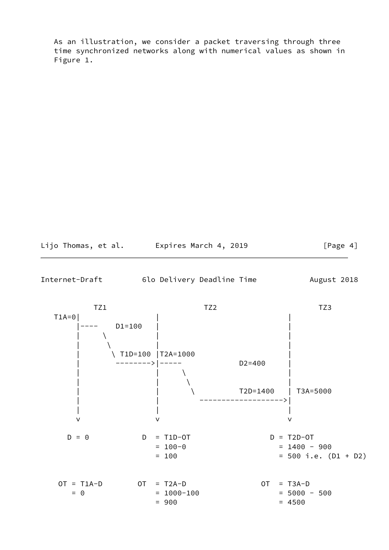As an illustration, we consider a packet traversing through three time synchronized networks along with numerical values as shown in Figure 1.

Lijo Thomas, et al. Expires March 4, 2019 [Page 4]

<span id="page-4-0"></span>Internet-Draft 6lo Delivery Deadline Time August 2018

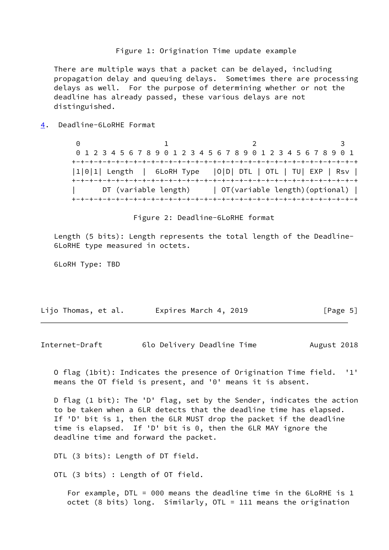#### Figure 1: Origination Time update example

 There are multiple ways that a packet can be delayed, including propagation delay and queuing delays. Sometimes there are processing delays as well. For the purpose of determining whether or not the deadline has already passed, these various delays are not distinguished.

<span id="page-5-0"></span>[4](#page-5-0). Deadline-6LoRHE Format

 $0$  1 2 3 0 1 2 3 4 5 6 7 8 9 0 1 2 3 4 5 6 7 8 9 0 1 2 3 4 5 6 7 8 9 0 1 +-+-+-+-+-+-+-+-+-+-+-+-+-+-+-+-+-+-+-+-+-+-+-+-+-+-+-+-+-+-+-+-+ |1|0|1| Length | 6LoRH Type |O|D| DTL | OTL | TU| EXP | Rsv | +-+-+-+-+-+-+-+-+-+-+-+-+-+-+-+-+-+-+-+-+-+-+-+-+-+-+-+-+-+-+-+-+ DT (variable length) | OT(variable length)(optional) | +-+-+-+-+-+-+-+-+-+-+-+-+-+-+-+-+-+-+-+-+-+-+-+-+-+-+-+-+-+-+-+-+

Figure 2: Deadline-6LoRHE format

 Length (5 bits): Length represents the total length of the Deadline- 6LoRHE type measured in octets.

6LoRH Type: TBD

| Lijo Thomas, et al.<br>Expires March 4, 2019 | [Page 5] |
|----------------------------------------------|----------|
|----------------------------------------------|----------|

Internet-Draft 6lo Delivery Deadline Time August 2018

 O flag (1bit): Indicates the presence of Origination Time field. '1' means the OT field is present, and '0' means it is absent.

 D flag (1 bit): The 'D' flag, set by the Sender, indicates the action to be taken when a 6LR detects that the deadline time has elapsed. If 'D' bit is 1, then the 6LR MUST drop the packet if the deadline time is elapsed. If 'D' bit is 0, then the 6LR MAY ignore the deadline time and forward the packet.

DTL (3 bits): Length of DT field.

OTL (3 bits) : Length of OT field.

 For example, DTL = 000 means the deadline time in the 6LoRHE is 1 octet (8 bits) long. Similarly, OTL = 111 means the origination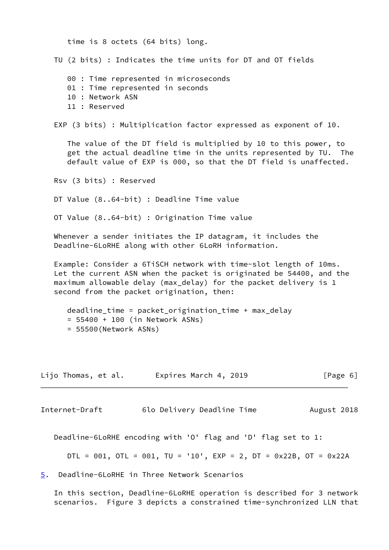time is 8 octets (64 bits) long. TU (2 bits) : Indicates the time units for DT and OT fields 00 : Time represented in microseconds 01 : Time represented in seconds 10 : Network ASN 11 : Reserved EXP (3 bits) : Multiplication factor expressed as exponent of 10. The value of the DT field is multiplied by 10 to this power, to get the actual deadline time in the units represented by TU. The default value of EXP is 000, so that the DT field is unaffected. Rsv (3 bits) : Reserved DT Value (8..64-bit) : Deadline Time value OT Value (8..64-bit) : Origination Time value Whenever a sender initiates the IP datagram, it includes the Deadline-6LoRHE along with other 6LoRH information. Example: Consider a 6TiSCH network with time-slot length of 10ms. Let the current ASN when the packet is originated be 54400, and the maximum allowable delay (max\_delay) for the packet delivery is 1 second from the packet origination, then: deadline\_time = packet\_origination\_time + max\_delay = 55400 + 100 (in Network ASNs) = 55500(Network ASNs) Lijo Thomas, et al. Expires March 4, 2019 [Page 6] Internet-Draft 6lo Delivery Deadline Time August 2018 Deadline-6LoRHE encoding with 'O' flag and 'D' flag set to 1: DTL =  $001$ , OTL =  $001$ , TU =  $'10'$ , EXP = 2, DT =  $0x22B$ , OT =  $0x22A$ 

<span id="page-6-1"></span><span id="page-6-0"></span>[5](#page-6-0). Deadline-6LoRHE in Three Network Scenarios

 In this section, Deadline-6LoRHE operation is described for 3 network scenarios. Figure 3 depicts a constrained time-synchronized LLN that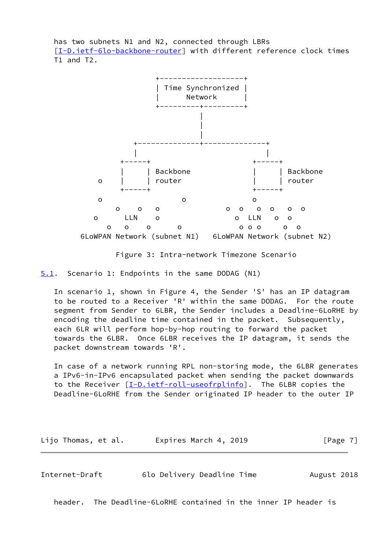has two subnets N1 and N2, connected through LBRs [\[I-D.ietf-6lo-backbone-router](#page-13-6)] with different reference clock times T1 and T2.



Figure 3: Intra-network Timezone Scenario

<span id="page-7-0"></span>[5.1](#page-7-0). Scenario 1: Endpoints in the same DODAG (N1)

 In scenario 1, shown in Figure 4, the Sender 'S' has an IP datagram to be routed to a Receiver 'R' within the same DODAG. For the route segment from Sender to 6LBR, the Sender includes a Deadline-6LoRHE by encoding the deadline time contained in the packet. Subsequently, each 6LR will perform hop-by-hop routing to forward the packet towards the 6LBR. Once 6LBR receives the IP datagram, it sends the packet downstream towards 'R'.

 In case of a network running RPL non-storing mode, the 6LBR generates a IPv6-in-IPv6 encapsulated packet when sending the packet downwards to the Receiver [*I-D.ietf-roll-useofrplinfo*]. The 6LBR copies the Deadline-6LoRHE from the Sender originated IP header to the outer IP

Lijo Thomas, et al. Expires March 4, 2019 [Page 7]

<span id="page-7-1"></span>Internet-Draft 6lo Delivery Deadline Time August 2018

header. The Deadline-6LoRHE contained in the inner IP header is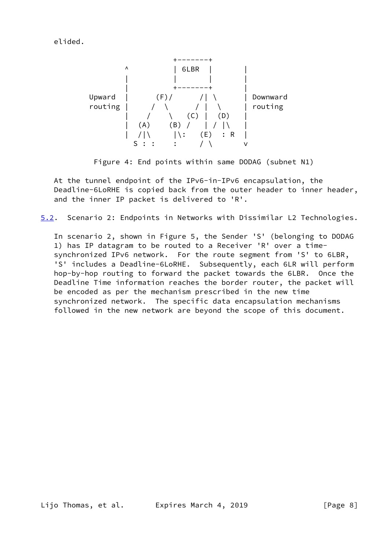elided.



Figure 4: End points within same DODAG (subnet N1)

 At the tunnel endpoint of the IPv6-in-IPv6 encapsulation, the Deadline-6LoRHE is copied back from the outer header to inner header, and the inner IP packet is delivered to 'R'.

<span id="page-8-0"></span>[5.2](#page-8-0). Scenario 2: Endpoints in Networks with Dissimilar L2 Technologies.

 In scenario 2, shown in Figure 5, the Sender 'S' (belonging to DODAG 1) has IP datagram to be routed to a Receiver 'R' over a time synchronized IPv6 network. For the route segment from 'S' to 6LBR, 'S' includes a Deadline-6LoRHE. Subsequently, each 6LR will perform hop-by-hop routing to forward the packet towards the 6LBR. Once the Deadline Time information reaches the border router, the packet will be encoded as per the mechanism prescribed in the new time synchronized network. The specific data encapsulation mechanisms followed in the new network are beyond the scope of this document.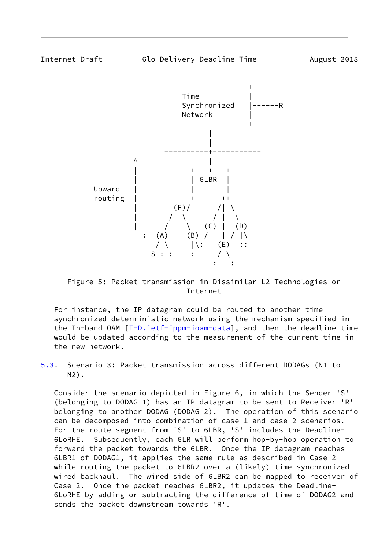<span id="page-9-0"></span>

 Figure 5: Packet transmission in Dissimilar L2 Technologies or Internet

 For instance, the IP datagram could be routed to another time synchronized deterministic network using the mechanism specified in the In-band OAM [\[I-D.ietf-ippm-ioam-data](#page-13-8)], and then the deadline time would be updated according to the measurement of the current time in the new network.

<span id="page-9-1"></span>[5.3](#page-9-1). Scenario 3: Packet transmission across different DODAGs (N1 to N2).

 Consider the scenario depicted in Figure 6, in which the Sender 'S' (belonging to DODAG 1) has an IP datagram to be sent to Receiver 'R' belonging to another DODAG (DODAG 2). The operation of this scenario can be decomposed into combination of case 1 and case 2 scenarios. For the route segment from 'S' to 6LBR, 'S' includes the Deadline- 6LoRHE. Subsequently, each 6LR will perform hop-by-hop operation to forward the packet towards the 6LBR. Once the IP datagram reaches 6LBR1 of DODAG1, it applies the same rule as described in Case 2 while routing the packet to 6LBR2 over a (likely) time synchronized wired backhaul. The wired side of 6LBR2 can be mapped to receiver of Case 2. Once the packet reaches 6LBR2, it updates the Deadline- 6LoRHE by adding or subtracting the difference of time of DODAG2 and sends the packet downstream towards 'R'.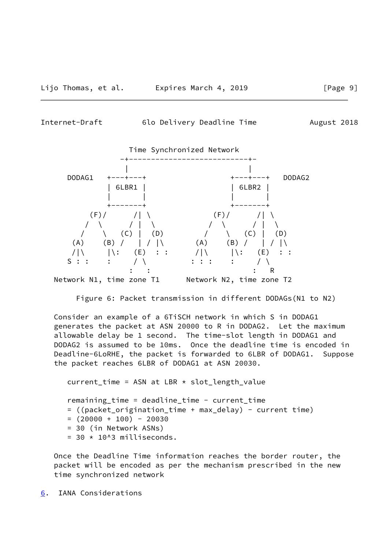<span id="page-10-1"></span>Internet-Draft 6lo Delivery Deadline Time August 2018



Figure 6: Packet transmission in different DODAGs(N1 to N2)

 Consider an example of a 6TiSCH network in which S in DODAG1 generates the packet at ASN 20000 to R in DODAG2. Let the maximum allowable delay be 1 second. The time-slot length in DODAG1 and DODAG2 is assumed to be 10ms. Once the deadline time is encoded in Deadline-6LoRHE, the packet is forwarded to 6LBR of DODAG1. Suppose the packet reaches 6LBR of DODAG1 at ASN 20030.

 $current_time = ASN at LBR * slot_length_value$  remaining\_time = deadline\_time - current\_time = ((packet\_origination\_time + max\_delay) - current time)  $= (20000 + 100) - 20030$  = 30 (in Network ASNs)  $= 30 \times 10^{13}$  milliseconds.

 Once the Deadline Time information reaches the border router, the packet will be encoded as per the mechanism prescribed in the new time synchronized network

<span id="page-10-0"></span>[6](#page-10-0). IANA Considerations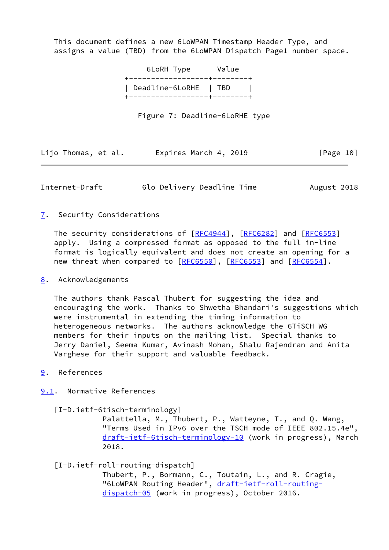This document defines a new 6LoWPAN Timestamp Header Type, and assigns a value (TBD) from the 6LoWPAN Dispatch Page1 number space.

> 6LoRH Type Value +------------------+--------+ | Deadline-6LoRHE | TBD | .<br>+-------------------+--------+

> > Figure 7: Deadline-6LoRHE type

|  | Lijo Thomas, et al. |  | Expires March 4, 2019 |  |  |  | [Page 10] |  |
|--|---------------------|--|-----------------------|--|--|--|-----------|--|
|--|---------------------|--|-----------------------|--|--|--|-----------|--|

<span id="page-11-1"></span>Internet-Draft 6lo Delivery Deadline Time August 2018

### <span id="page-11-0"></span>[7](#page-11-0). Security Considerations

The security considerations of [\[RFC4944](https://datatracker.ietf.org/doc/pdf/rfc4944)], [[RFC6282](https://datatracker.ietf.org/doc/pdf/rfc6282)] and [\[RFC6553](https://datatracker.ietf.org/doc/pdf/rfc6553)] apply. Using a compressed format as opposed to the full in-line format is logically equivalent and does not create an opening for a new threat when compared to [\[RFC6550](https://datatracker.ietf.org/doc/pdf/rfc6550)], [\[RFC6553](https://datatracker.ietf.org/doc/pdf/rfc6553)] and [\[RFC6554](https://datatracker.ietf.org/doc/pdf/rfc6554)].

### <span id="page-11-2"></span>[8](#page-11-2). Acknowledgements

 The authors thank Pascal Thubert for suggesting the idea and encouraging the work. Thanks to Shwetha Bhandari's suggestions which were instrumental in extending the timing information to heterogeneous networks. The authors acknowledge the 6TiSCH WG members for their inputs on the mailing list. Special thanks to Jerry Daniel, Seema Kumar, Avinash Mohan, Shalu Rajendran and Anita Varghese for their support and valuable feedback.

# <span id="page-11-3"></span>[9](#page-11-3). References

<span id="page-11-4"></span>[9.1](#page-11-4). Normative References

<span id="page-11-6"></span>[I-D.ietf-6tisch-terminology]

 Palattella, M., Thubert, P., Watteyne, T., and Q. Wang, "Terms Used in IPv6 over the TSCH mode of IEEE 802.15.4e", [draft-ietf-6tisch-terminology-10](https://datatracker.ietf.org/doc/pdf/draft-ietf-6tisch-terminology-10) (work in progress), March 2018.

<span id="page-11-5"></span>[I-D.ietf-roll-routing-dispatch]

 Thubert, P., Bormann, C., Toutain, L., and R. Cragie, "6LoWPAN Routing Header", [draft-ietf-roll-routing](https://datatracker.ietf.org/doc/pdf/draft-ietf-roll-routing-dispatch-05) [dispatch-05](https://datatracker.ietf.org/doc/pdf/draft-ietf-roll-routing-dispatch-05) (work in progress), October 2016.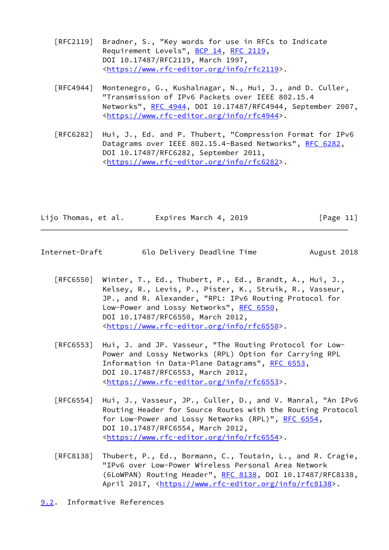- [RFC2119] Bradner, S., "Key words for use in RFCs to Indicate Requirement Levels", [BCP 14](https://datatracker.ietf.org/doc/pdf/bcp14), [RFC 2119](https://datatracker.ietf.org/doc/pdf/rfc2119), DOI 10.17487/RFC2119, March 1997, <[https://www.rfc-editor.org/info/rfc2119>](https://www.rfc-editor.org/info/rfc2119).
- [RFC4944] Montenegro, G., Kushalnagar, N., Hui, J., and D. Culler, "Transmission of IPv6 Packets over IEEE 802.15.4 Networks", [RFC 4944](https://datatracker.ietf.org/doc/pdf/rfc4944), DOI 10.17487/RFC4944, September 2007, <[https://www.rfc-editor.org/info/rfc4944>](https://www.rfc-editor.org/info/rfc4944).
- [RFC6282] Hui, J., Ed. and P. Thubert, "Compression Format for IPv6 Datagrams over IEEE 802.15.4-Based Networks", [RFC 6282](https://datatracker.ietf.org/doc/pdf/rfc6282), DOI 10.17487/RFC6282, September 2011, <[https://www.rfc-editor.org/info/rfc6282>](https://www.rfc-editor.org/info/rfc6282).

| Lijo Thomas, et al. | Expires March 4, 2019 | [Page 11] |
|---------------------|-----------------------|-----------|
|---------------------|-----------------------|-----------|

- <span id="page-12-1"></span>Internet-Draft 6lo Delivery Deadline Time August 2018
	- [RFC6550] Winter, T., Ed., Thubert, P., Ed., Brandt, A., Hui, J., Kelsey, R., Levis, P., Pister, K., Struik, R., Vasseur, JP., and R. Alexander, "RPL: IPv6 Routing Protocol for Low-Power and Lossy Networks", [RFC 6550](https://datatracker.ietf.org/doc/pdf/rfc6550), DOI 10.17487/RFC6550, March 2012, <[https://www.rfc-editor.org/info/rfc6550>](https://www.rfc-editor.org/info/rfc6550).
	- [RFC6553] Hui, J. and JP. Vasseur, "The Routing Protocol for Low- Power and Lossy Networks (RPL) Option for Carrying RPL Information in Data-Plane Datagrams", [RFC 6553](https://datatracker.ietf.org/doc/pdf/rfc6553), DOI 10.17487/RFC6553, March 2012, <[https://www.rfc-editor.org/info/rfc6553>](https://www.rfc-editor.org/info/rfc6553).
	- [RFC6554] Hui, J., Vasseur, JP., Culler, D., and V. Manral, "An IPv6 Routing Header for Source Routes with the Routing Protocol for Low-Power and Lossy Networks (RPL)", [RFC 6554,](https://datatracker.ietf.org/doc/pdf/rfc6554) DOI 10.17487/RFC6554, March 2012, <[https://www.rfc-editor.org/info/rfc6554>](https://www.rfc-editor.org/info/rfc6554).
	- [RFC8138] Thubert, P., Ed., Bormann, C., Toutain, L., and R. Cragie, "IPv6 over Low-Power Wireless Personal Area Network (6LoWPAN) Routing Header", [RFC 8138](https://datatracker.ietf.org/doc/pdf/rfc8138), DOI 10.17487/RFC8138, April 2017, [<https://www.rfc-editor.org/info/rfc8138](https://www.rfc-editor.org/info/rfc8138)>.
- <span id="page-12-0"></span>[9.2](#page-12-0). Informative References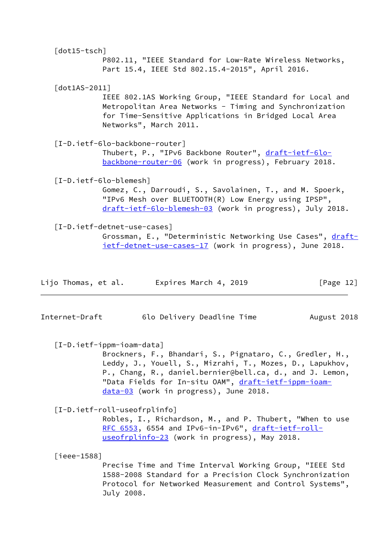<span id="page-13-6"></span><span id="page-13-5"></span><span id="page-13-4"></span><span id="page-13-3"></span>

| $[dot15 - tsch]$           |                                |                        |                                                      |                                                                                                                                                                              |
|----------------------------|--------------------------------|------------------------|------------------------------------------------------|------------------------------------------------------------------------------------------------------------------------------------------------------------------------------|
|                            |                                |                        | Part 15.4, IEEE Std 802.15.4-2015", April 2016.      | P802.11, "IEEE Standard for Low-Rate Wireless Networks,                                                                                                                      |
| $\lceil dot1AS-2011\rceil$ |                                | Networks", March 2011. |                                                      | IEEE 802.1AS Working Group, "IEEE Standard for Local and<br>Metropolitan Area Networks - Timing and Synchronization<br>for Time-Sensitive Applications in Bridged Local Area |
|                            | [I-D.ietf-6lo-backbone-router] |                        | Thubert, P., "IPv6 Backbone Router", draft-ietf-6lo- | backbone-router-06 (work in progress), February 2018.                                                                                                                        |
|                            | [I-D.ietf-6lo-blemesh]         |                        | "IPv6 Mesh over BLUETOOTH(R) Low Energy using IPSP", | Gomez, C., Darroudi, S., Savolainen, T., and M. Spoerk,<br>draft-ietf-6lo-blemesh-03 (work in progress), July 2018.                                                          |
|                            | [I-D.ietf-detnet-use-cases]    |                        |                                                      | Grossman, E., "Deterministic Networking Use Cases", draft-<br>ietf-detnet-use-cases-17 (work in progress), June 2018.                                                        |
| Lijo Thomas, et al.        |                                | Expires March 4, 2019  |                                                      | [Page $12$ ]                                                                                                                                                                 |

<span id="page-13-1"></span><span id="page-13-0"></span>Internet-Draft 6lo Delivery Deadline Time August 2018

<span id="page-13-8"></span>[I-D.ietf-ippm-ioam-data]

 Brockners, F., Bhandari, S., Pignataro, C., Gredler, H., Leddy, J., Youell, S., Mizrahi, T., Mozes, D., Lapukhov, P., Chang, R., daniel.bernier@bell.ca, d., and J. Lemon, "Data Fields for In-situ OAM", [draft-ietf-ippm-ioam](https://datatracker.ietf.org/doc/pdf/draft-ietf-ippm-ioam-data-03) [data-03](https://datatracker.ietf.org/doc/pdf/draft-ietf-ippm-ioam-data-03) (work in progress), June 2018.

<span id="page-13-7"></span>[I-D.ietf-roll-useofrplinfo]

 Robles, I., Richardson, M., and P. Thubert, "When to use [RFC 6553,](https://datatracker.ietf.org/doc/pdf/rfc6553) 6554 and IPv6-in-IPv6", [draft-ietf-roll](https://datatracker.ietf.org/doc/pdf/draft-ietf-roll-useofrplinfo-23) [useofrplinfo-23](https://datatracker.ietf.org/doc/pdf/draft-ietf-roll-useofrplinfo-23) (work in progress), May 2018.

<span id="page-13-2"></span>[ieee-1588]

 Precise Time and Time Interval Working Group, "IEEE Std 1588-2008 Standard for a Precision Clock Synchronization Protocol for Networked Measurement and Control Systems", July 2008.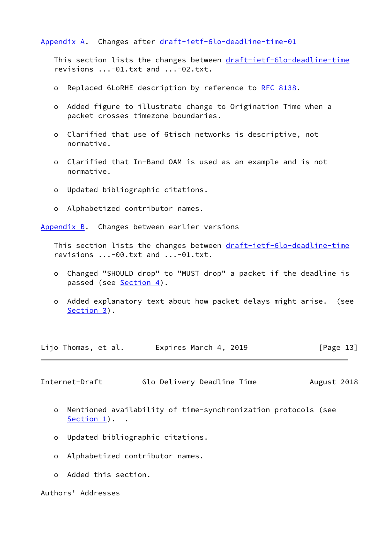### <span id="page-14-0"></span>[Appendix A.](#page-14-0) Changes after [draft-ietf-6lo-deadline-time-01](https://datatracker.ietf.org/doc/pdf/draft-ietf-6lo-deadline-time-01)

This section lists the changes between [draft-ietf-6lo-deadline-time](https://datatracker.ietf.org/doc/pdf/draft-ietf-6lo-deadline-time) revisions ...-01.txt and ...-02.txt.

- o Replaced 6LoRHE description by reference to [RFC 8138.](https://datatracker.ietf.org/doc/pdf/rfc8138)
- o Added figure to illustrate change to Origination Time when a packet crosses timezone boundaries.
- o Clarified that use of 6tisch networks is descriptive, not normative.
- o Clarified that In-Band OAM is used as an example and is not normative.
- o Updated bibliographic citations.
- o Alphabetized contributor names.

<span id="page-14-1"></span>[Appendix B.](#page-14-1) Changes between earlier versions

This section lists the changes between [draft-ietf-6lo-deadline-time](https://datatracker.ietf.org/doc/pdf/draft-ietf-6lo-deadline-time) revisions ...-00.txt and ...-01.txt.

- o Changed "SHOULD drop" to "MUST drop" a packet if the deadline is passed (see [Section 4\)](#page-5-0).
- o Added explanatory text about how packet delays might arise. (see [Section 3\)](#page-2-2).

Lijo Thomas, et al. Expires March 4, 2019 [Page 13]

<span id="page-14-2"></span>Internet-Draft 6lo Delivery Deadline Time August 2018

- o Mentioned availability of time-synchronization protocols (see Section  $1$ ).
- o Updated bibliographic citations.
- o Alphabetized contributor names.
- o Added this section.

Authors' Addresses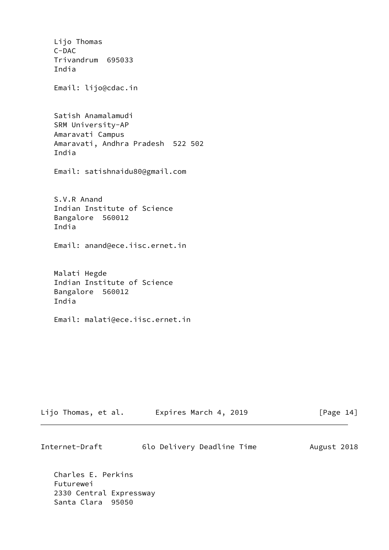Lijo Thomas C-DAC Trivandrum 695033 India Email: lijo@cdac.in Satish Anamalamudi SRM University-AP Amaravati Campus Amaravati, Andhra Pradesh 522 502 India Email: satishnaidu80@gmail.com S.V.R Anand Indian Institute of Science Bangalore 560012 India Email: anand@ece.iisc.ernet.in Malati Hegde Indian Institute of Science Bangalore 560012 India Email: malati@ece.iisc.ernet.in

| Lijo Thomas, et al. | Expires March 4, 2019 | [Page 14] |
|---------------------|-----------------------|-----------|
|---------------------|-----------------------|-----------|

| Internet-Draft | 6lo Delivery Deadline Time | August 2018 |
|----------------|----------------------------|-------------|
|----------------|----------------------------|-------------|

 Charles E. Perkins Futurewei 2330 Central Expressway Santa Clara 95050